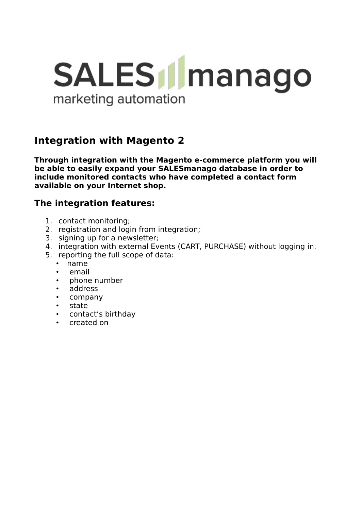# **SALES //** manago marketing automation

# **Integration with Magento 2**

**Through integration with the Magento e-commerce platform you will be able to easily expand your SALESmanago database in order to include monitored contacts who have completed a contact form available on your Internet shop.** 

## **The integration features:**

- 1. contact monitoring;
- 2. registration and login from integration;
- 3. signing up for a newsletter;
- 4. integration with external Events (CART, PURCHASE) without logging in.
- 5. reporting the full scope of data:
	- name
	- email
	- phone number
	- address
	- company
	- state
	- contact's birthday
	- created on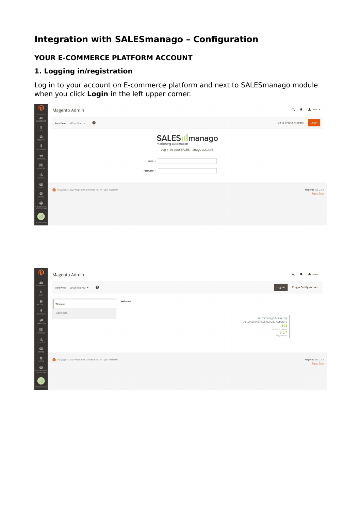## **Integration with SALESmanago – Configuration**

#### **YOUR E-COMMERCE PLATFORM ACCOUNT**

### **1. Logging in/registration**

Log in to your account on E-commerce platform and next to SALESmanago module when you click **Login** in the left upper corner.

| ⑪<br>Magento Admin                                                                                                                               |                                                                                        | $\Omega$<br>kolczu v                     |
|--------------------------------------------------------------------------------------------------------------------------------------------------|----------------------------------------------------------------------------------------|------------------------------------------|
| $\mathbf{a}$<br>DASHBOARD<br>$\bullet$<br>Store View: All Store Views<br>\$                                                                      |                                                                                        | Go to Create Account<br>Login            |
| SALES<br>命<br>PRODUCTS<br>ê<br>CUSTOMERS<br>ч.<br>MARKETING<br>$\qquad \qquad \Box$<br>CONTENT<br>d.<br>REPORTS                                  | <b>SALES I</b> manago<br>Log in to your SALESmanago account<br>Login $*$<br>Password * |                                          |
| ₩<br><b>STORES</b><br>Copyright © 2020 Magento Commerce Inc. All rights reserved.<br>$\mathbf{Q}$<br>System<br>♠<br>FIND PARTNERS<br>SALESMANAGO |                                                                                        | Magento ver. 2.1.1<br><b>Report Bugs</b> |

| ⑪                                         | Magento Admin                                               |                                                                 | $\alpha$ | kolczu <del>v</del>                      |  |
|-------------------------------------------|-------------------------------------------------------------|-----------------------------------------------------------------|----------|------------------------------------------|--|
| $\mathbf{a}$<br>DASHBOARD<br>\$<br>SALES  | $\bullet$<br>Store View: Default Store View                 | Logout                                                          |          | <b>Plugin Configuration</b>              |  |
| ŵ<br>PRODUCTS                             | Welcome                                                     | Welcome                                                         |          |                                          |  |
| 휴<br>CUSTOMERS                            | <b>Export Data</b>                                          |                                                                 |          |                                          |  |
| $\blacktriangleleft$<br>MARKETING         |                                                             | SALESmanago Marketing<br>Automation SALESmanago AppStore<br>103 |          |                                          |  |
| $\overline{\mathbf{m}}$ content           |                                                             | Number of contacts<br>3.0.7<br>Plugin version                   |          |                                          |  |
| n.<br>REPORTS                             |                                                             |                                                                 |          |                                          |  |
| ▩<br><b>STORES</b>                        |                                                             |                                                                 |          |                                          |  |
| $\mathbf{R}$<br>System                    | Copyright © 2020 Magento Commerce Inc. All rights reserved. |                                                                 |          | Magento ver. 2.1.1<br><b>Report Bugs</b> |  |
| ۰<br><b>FIND PARTNERS</b><br>& EXTENSIONS |                                                             |                                                                 |          |                                          |  |
|                                           |                                                             |                                                                 |          |                                          |  |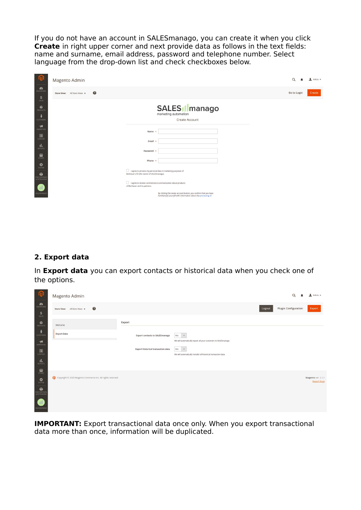If you do not have an account in SALESmanago, you can create it when you click **Create** in right upper corner and next provide data as follows in the text fields: name and surname, email address, password and telephone number. Select language from the drop-down list and check checkboxes below.

| 价                        | Magento Admin                            |                                                                                                                                    |                    | kolczu v |
|--------------------------|------------------------------------------|------------------------------------------------------------------------------------------------------------------------------------|--------------------|----------|
| DASHBOARD<br>\$<br>SALES | $\bullet$<br>Store View: All Store Views |                                                                                                                                    | <b>Go to Login</b> | Create   |
| ŵ<br>PRODUCTS            |                                          | <b>SALES</b> <sup>Il</sup> manago<br>marketing automation                                                                          |                    |          |
| CUSTOMERS                |                                          | <b>Create Account</b>                                                                                                              |                    |          |
| ۰Ħ<br>MARKETING          |                                          | Name                                                                                                                               |                    |          |
| $\overline{\mathbf{m}}$  |                                          | Email $\star$                                                                                                                      |                    |          |
| ıl.<br>REPORTS           |                                          | Password *                                                                                                                         |                    |          |
| <b>ED</b><br>STORES      |                                          | Phone *                                                                                                                            |                    |          |
| $\frac{1}{\sqrt{2}}$     |                                          | I agree to process my personal data in marketing purposes of                                                                       |                    |          |
| ♠<br>FIND PARTNER        |                                          | Benhauer LTD (the owner of SALESmanago).                                                                                           |                    |          |
|                          |                                          | I agree to receive commercial e-communication about products<br>of Benhauer and its partners.                                      |                    |          |
| SALESMANAGO              |                                          | By clicking the create account button, you confirm that you have<br>familiarised yourself with information about the processing of |                    |          |

#### **2. Export data**

In **Export data** you can export contacts or historical data when you check one of the options.

| 价                                         | Magento Admin                                               |               |                                           |                                                                                                     |        | $\alpha$                    | kolczu v                                 |
|-------------------------------------------|-------------------------------------------------------------|---------------|-------------------------------------------|-----------------------------------------------------------------------------------------------------|--------|-----------------------------|------------------------------------------|
| DASHBOARD<br>\$<br>SALES                  | $\bullet$<br>Store View: All Store Views                    |               |                                           |                                                                                                     | Logout | <b>Plugin Configuration</b> | Export                                   |
| $\sum_{\text{PRODUCTS}}$                  | Welcome                                                     | <b>Export</b> |                                           |                                                                                                     |        |                             |                                          |
| <b>CUSTOMERS</b>                          | <b>Export Data</b>                                          |               | <b>Export contacts to SALESmanago</b>     | Yes<br>$\boldsymbol{\mathrm{v}}$<br>We will automatically export all your customers to SALESmanago. |        |                             |                                          |
| ៕<br>MARKETING<br>$\overline{\mathbf{m}}$ |                                                             |               | <b>Export historical transaction data</b> | Yes<br>$\mathbf{v}$<br>We will automatically transfer all historical transaction data.              |        |                             |                                          |
| $\prod_{\mathsf{REPORTS}}$                |                                                             |               |                                           |                                                                                                     |        |                             |                                          |
| $\frac{d}{d}$ STORES<br>٠<br>SYSTEM       | Copyright © 2020 Magento Commerce Inc. All rights reserved. |               |                                           |                                                                                                     |        |                             | Magento ver. 2.1.1<br><b>Report Bugs</b> |
| FIND PARTNERS                             |                                                             |               |                                           |                                                                                                     |        |                             |                                          |
| $\blacksquare$<br>SALESMANAGO             |                                                             |               |                                           |                                                                                                     |        |                             |                                          |

**IMPORTANT:** Export transactional data once only. When you export transactional data more than once, information will be duplicated.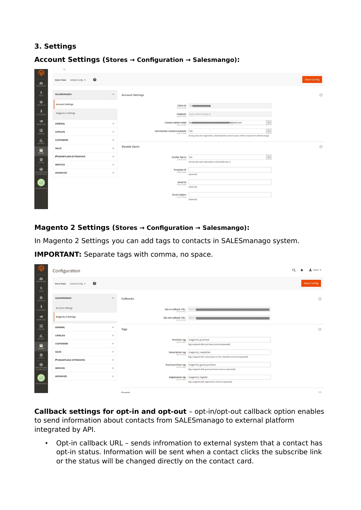#### **3. Settings**

**Contract** 

| 而                                     |                                           |                                               |                                                                                                                        |                    |
|---------------------------------------|-------------------------------------------|-----------------------------------------------|------------------------------------------------------------------------------------------------------------------------|--------------------|
| DASHBOARD                             | $\bullet$<br>Store View: Default Config v |                                               |                                                                                                                        | <b>Save Config</b> |
|                                       |                                           |                                               |                                                                                                                        |                    |
| $\frac{1}{2}$<br>SALES                | SALESMANAGO<br>$\widehat{\phantom{a}}$    | <b>Account Settings</b>                       |                                                                                                                        | $\odot$            |
| Ŵ<br>PRODUCTS                         | <b>Account Settings</b>                   | Client ID 7<br>[store view]                   |                                                                                                                        |                    |
| $\hat{\pmb{\pi}}$<br>CUSTOMERS        | Magento 2 Settings                        | Endpoint<br>[store view]                      | app2.salesmanago.pl                                                                                                    |                    |
| $\blacktriangledown$<br>MARKETING     | <b>GENERAL</b><br>$\checkmark$            | Contact owner email<br>[store view]           | <b>Ogmail.com</b><br>kar<br>$\mathbf{v}$                                                                               |                    |
| $\overline{\mathbf{m}}$ content       | <b>CATALOG</b><br>$\checkmark$            | Synchronize contacts statuses<br>[store view] | Yes<br>$\pmb{\mathrm{v}}$<br>During new user registration, download the consent status of the contact from SALESmanago |                    |
| $\mathop{\text{II}}_{\text{REPORTS}}$ | <b>CUSTOMERS</b><br>$\checkmark$          |                                               |                                                                                                                        |                    |
| $\frac{d}{d}$ stores                  | $\check{~}$<br><b>SALES</b>               | <b>Double Optin</b>                           |                                                                                                                        | $\odot$            |
| $\bullet$                             | A MAGEPLAZA EXTENSIONS<br>$\checkmark$    | Double Opt In No<br>[store view]              | $\pmb{\mathrm{v}}$                                                                                                     |                    |
|                                       | <b>SERVICES</b><br>$\checkmark$           |                                               | During new user subscription, use Double Opt In                                                                        |                    |
| FIND PARTNERS<br>& EXTENSIONS         | <b>ADVANCED</b><br>$\check{~}$            | <b>Template ID</b><br>[store view]            | (optional)                                                                                                             |                    |
| SALESMANAGO                           |                                           | Email ID<br>[store view]                      | (optional)                                                                                                             |                    |
|                                       |                                           | <b>Email Subject</b><br>[store view]          | (optional)                                                                                                             |                    |

**Account Settings (Stores → Configuration → Salesmango):**

#### **Magento 2 Settings (Stores → Configuration → Salesmango):**

In Magento 2 Settings you can add tags to contacts in SALESmanago system.

**IMPORTANT:** Separate tags with comma, no space.

| $\hat{m}$                            | Configuration                             |              |                                         |                                                                                 | $\Omega$ | $\mathbf{R}$ kolczu $\mathbf{v}$ |
|--------------------------------------|-------------------------------------------|--------------|-----------------------------------------|---------------------------------------------------------------------------------|----------|----------------------------------|
| $\alpha$<br>DASHBOARD<br>\$<br>SALES | $\bullet$<br>Store View: Default Config + |              |                                         |                                                                                 |          | <b>Save Config</b>               |
| ŵ<br><b>PRODUCTS</b>                 | SALESMANAGO                               | $\wedge$     | <b>Callbacks</b>                        |                                                                                 |          | $\odot$                          |
| 帚<br><b>CUSTOMERS</b>                | <b>Account Settings</b>                   |              | Opt-in callback URL:<br>[store view]    | http:/                                                                          |          |                                  |
| $\blacktriangleleft$<br>MARKETING    | <b>Magento 2 Settings</b>                 |              | Opt-out callback URL:<br>[store view]   | http://                                                                         |          |                                  |
| $\Box$<br>CONTENT                    | <b>GENERAL</b>                            | $\checkmark$ | <b>Tags</b>                             |                                                                                 |          | $\odot$                          |
| al.<br>REPORTS                       | CATALOG                                   | $\check{~}$  | Purchase tag                            | magento2_purchase                                                               |          |                                  |
| $\frac{d\mathbf{m}}{d\mathbf{r}}$    | <b>CUSTOMERS</b>                          | $\checkmark$ | [store view]                            | Tags assigned after purchase (comma separated)                                  |          |                                  |
| ❖                                    | <b>SALES</b>                              | $\checkmark$ | <b>Subscription tag</b><br>[store view] | magento2_newsletter                                                             |          |                                  |
| SYSTEM                               | A MAGEPLAZA EXTENSIONS                    | $\checkmark$ |                                         | Tags assigned after subscription to the newsletter (comma separated)            |          |                                  |
| ¢<br>FIND PARTNER:<br>& EXTENSIONS   | <b>SERVICES</b>                           | $\checkmark$ | Guest purchase tag<br>[store view]      | magento2_guest_purchase<br>Tags assigned after guest purchase (comma separated) |          |                                  |
|                                      | <b>ADVANCED</b>                           | $\checkmark$ | <b>Registration tag</b><br>[store view] | magento2_register                                                               |          |                                  |
| <b>SALESMANAGO</b>                   |                                           |              |                                         | Tags assigned after registration (comma separated)                              |          |                                  |
|                                      |                                           |              | <b>Events</b>                           |                                                                                 |          | $\Omega$                         |

**Callback settings for opt-in and opt-out** – opt-in/opt-out callback option enables to send information about contacts from SALESmanago to external platform integrated by API.

• Opt-in callback URL – sends infromation to external system that a contact has opt-in status. Information will be sent when a contact clicks the subscribe link or the status will be changed directly on the contact card.